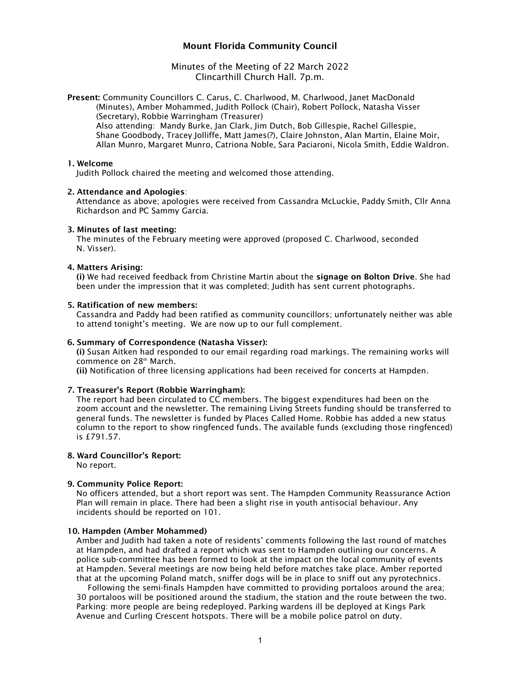# Mount Florida Community Council

Minutes of the Meeting of 22 March 2022 Clincarthill Church Hall. 7p.m.

Present: Community Councillors C. Carus, C. Charlwood, M. Charlwood, Janet MacDonald (Minutes), Amber Mohammed, Judith Pollock (Chair), Robert Pollock, Natasha Visser (Secretary), Robbie Warringham (Treasurer)

Also attending: Mandy Burke, Jan Clark, Jim Dutch, Bob Gillespie, Rachel Gillespie, Shane Goodbody, Tracey Jolliffe, Matt James(?), Claire Johnston, Alan Martin, Elaine Moir, Allan Munro, Margaret Munro, Catriona Noble, Sara Paciaroni, Nicola Smith, Eddie Waldron.

#### 1. Welcome

Judith Pollock chaired the meeting and welcomed those attending.

# 2. Attendance and Apologies:

Attendance as above; apologies were received from Cassandra McLuckie, Paddy Smith, Cllr Anna Richardson and PC Sammy Garcia.

# 3. Minutes of last meeting:

The minutes of the February meeting were approved (proposed C. Charlwood, seconded N. Visser).

# 4. Matters Arising:

(i) We had received feedback from Christine Martin about the signage on Bolton Drive. She had been under the impression that it was completed; Judith has sent current photographs.

# 5. Ratification of new members:

Cassandra and Paddy had been ratified as community councillors; unfortunately neither was able to attend tonight's meeting. We are now up to our full complement.

#### 6. Summary of Correspondence (Natasha Visser):

(i) Susan Aitken had responded to our email regarding road markings. The remaining works will commence on 28<sup>th</sup> March.

(ii) Notification of three licensing applications had been received for concerts at Hampden.

### 7. Treasurer's Report (Robbie Warringham):

The report had been circulated to CC members. The biggest expenditures had been on the zoom account and the newsletter. The remaining Living Streets funding should be transferred to general funds. The newsletter is funded by Places Called Home. Robbie has added a new status column to the report to show ringfenced funds. The available funds (excluding those ringfenced) is £791.57.

# 8. Ward Councillor's Report:

No report.

# 9. Community Police Report:

No officers attended, but a short report was sent. The Hampden Community Reassurance Action Plan will remain in place. There had been a slight rise in youth antisocial behaviour. Any incidents should be reported on 101.

#### 10. Hampden (Amber Mohammed)

Amber and Judith had taken a note of residents' comments following the last round of matches at Hampden, and had drafted a report which was sent to Hampden outlining our concerns. A police sub-committee has been formed to look at the impact on the local community of events at Hampden. Several meetings are now being held before matches take place. Amber reported that at the upcoming Poland match, sniffer dogs will be in place to sniff out any pyrotechnics.

Following the semi-finals Hampden have committed to providing portaloos around the area; 30 portaloos will be positioned around the stadium, the station and the route between the two. Parking: more people are being redeployed. Parking wardens ill be deployed at Kings Park Avenue and Curling Crescent hotspots. There will be a mobile police patrol on duty.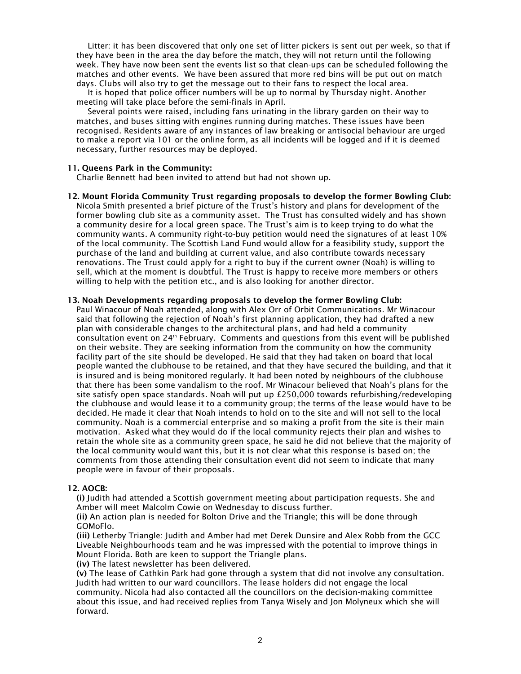Litter: it has been discovered that only one set of litter pickers is sent out per week, so that if they have been in the area the day before the match, they will not return until the following week. They have now been sent the events list so that clean-ups can be scheduled following the matches and other events. We have been assured that more red bins will be put out on match days. Clubs will also try to get the message out to their fans to respect the local area.

It is hoped that police officer numbers will be up to normal by Thursday night. Another meeting will take place before the semi-finals in April.

Several points were raised, including fans urinating in the library garden on their way to matches, and buses sitting with engines running during matches. These issues have been recognised. Residents aware of any instances of law breaking or antisocial behaviour are urged to make a report via 101 or the online form, as all incidents will be logged and if it is deemed necessary, further resources may be deployed.

### 11. Queens Park in the Community:

Charlie Bennett had been invited to attend but had not shown up.

12. Mount Florida Community Trust regarding proposals to develop the former Bowling Club: Nicola Smith presented a brief picture of the Trust's history and plans for development of the former bowling club site as a community asset. The Trust has consulted widely and has shown a community desire for a local green space. The Trust's aim is to keep trying to do what the community wants. A community right-to-buy petition would need the signatures of at least 10% of the local community. The Scottish Land Fund would allow for a feasibility study, support the purchase of the land and building at current value, and also contribute towards necessary renovations. The Trust could apply for a right to buy if the current owner (Noah) is willing to sell, which at the moment is doubtful. The Trust is happy to receive more members or others willing to help with the petition etc., and is also looking for another director.

#### 13. Noah Developments regarding proposals to develop the former Bowling Club:

Paul Winacour of Noah attended, along with Alex Orr of Orbit Communications. Mr Winacour said that following the rejection of Noah's first planning application, they had drafted a new plan with considerable changes to the architectural plans, and had held a community consultation event on  $24<sup>th</sup>$  February. Comments and questions from this event will be published on their website. They are seeking information from the community on how the community facility part of the site should be developed. He said that they had taken on board that local people wanted the clubhouse to be retained, and that they have secured the building, and that it is insured and is being monitored regularly. It had been noted by neighbours of the clubhouse that there has been some vandalism to the roof. Mr Winacour believed that Noah's plans for the site satisfy open space standards. Noah will put up £250,000 towards refurbishing/redeveloping the clubhouse and would lease it to a community group; the terms of the lease would have to be decided. He made it clear that Noah intends to hold on to the site and will not sell to the local community. Noah is a commercial enterprise and so making a profit from the site is their main motivation. Asked what they would do if the local community rejects their plan and wishes to retain the whole site as a community green space, he said he did not believe that the majority of the local community would want this, but it is not clear what this response is based on; the comments from those attending their consultation event did not seem to indicate that many people were in favour of their proposals.

#### 12. AOCB:

(i) Judith had attended a Scottish government meeting about participation requests. She and Amber will meet Malcolm Cowie on Wednesday to discuss further.

(ii) An action plan is needed for Bolton Drive and the Triangle; this will be done through GOMoFlo.

(iii) Letherby Triangle: Judith and Amber had met Derek Dunsire and Alex Robb from the GCC Liveable Neighbourhoods team and he was impressed with the potential to improve things in Mount Florida. Both are keen to support the Triangle plans.

(iv) The latest newsletter has been delivered.

(v) The lease of Cathkin Park had gone through a system that did not involve any consultation. Judith had written to our ward councillors. The lease holders did not engage the local community. Nicola had also contacted all the councillors on the decision-making committee about this issue, and had received replies from Tanya Wisely and Jon Molyneux which she will forward.